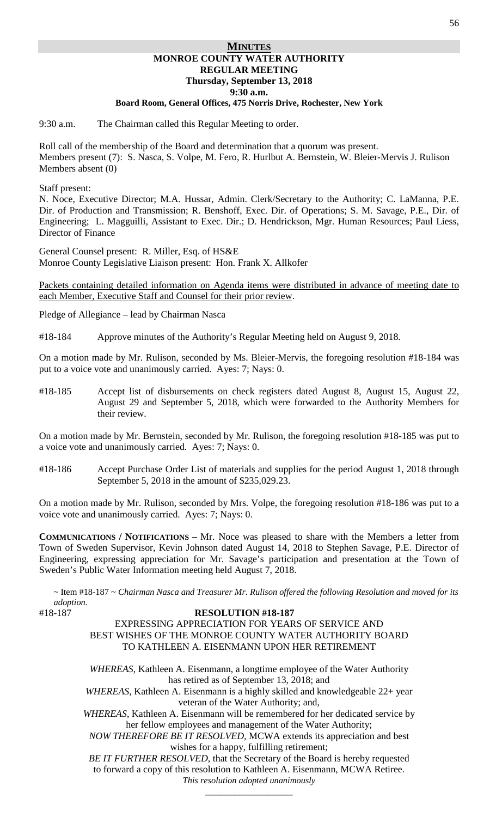## **MINUTES MONROE COUNTY WATER AUTHORITY REGULAR MEETING Thursday, September 13, 2018 9:30 a.m.**

#### **Board Room, General Offices, 475 Norris Drive, Rochester, New York**

9:30 a.m. The Chairman called this Regular Meeting to order.

Roll call of the membership of the Board and determination that a quorum was present. Members present (7): S. Nasca, S. Volpe, M. Fero, R. Hurlbut A. Bernstein, W. Bleier-Mervis J. Rulison Members absent (0)

Staff present:

N. Noce, Executive Director; M.A. Hussar, Admin. Clerk/Secretary to the Authority; C. LaManna, P.E. Dir. of Production and Transmission; R. Benshoff, Exec. Dir. of Operations; S. M. Savage, P.E., Dir. of Engineering; L. Magguilli, Assistant to Exec. Dir.; D. Hendrickson, Mgr. Human Resources; Paul Liess, Director of Finance

General Counsel present: R. Miller, Esq. of HS&E Monroe County Legislative Liaison present: Hon. Frank X. Allkofer

Packets containing detailed information on Agenda items were distributed in advance of meeting date to each Member, Executive Staff and Counsel for their prior review.

Pledge of Allegiance – lead by Chairman Nasca

#18-184 Approve minutes of the Authority's Regular Meeting held on August 9, 2018.

On a motion made by Mr. Rulison, seconded by Ms. Bleier-Mervis, the foregoing resolution #18-184 was put to a voice vote and unanimously carried. Ayes: 7; Nays: 0.

#18-185 Accept list of disbursements on check registers dated August 8, August 15, August 22, August 29 and September 5, 2018, which were forwarded to the Authority Members for their review.

On a motion made by Mr. Bernstein, seconded by Mr. Rulison, the foregoing resolution #18-185 was put to a voice vote and unanimously carried. Ayes: 7; Nays: 0.

#18-186 Accept Purchase Order List of materials and supplies for the period August 1, 2018 through September 5, 2018 in the amount of \$235,029.23.

On a motion made by Mr. Rulison, seconded by Mrs. Volpe, the foregoing resolution #18-186 was put to a voice vote and unanimously carried. Ayes: 7; Nays: 0.

**COMMUNICATIONS / NOTIFICATIONS –** Mr. Noce was pleased to share with the Members a letter from Town of Sweden Supervisor, Kevin Johnson dated August 14, 2018 to Stephen Savage, P.E. Director of Engineering, expressing appreciation for Mr. Savage's participation and presentation at the Town of Sweden's Public Water Information meeting held August 7, 2018.

~ Item #18-187 ~ *Chairman Nasca and Treasurer Mr. Rulison offered the following Resolution and moved for its adoption.* 

# #18-187 **RESOLUTION #18-187** EXPRESSING APPRECIATION FOR YEARS OF SERVICE AND BEST WISHES OF THE MONROE COUNTY WATER AUTHORITY BOARD TO KATHLEEN A. EISENMANN UPON HER RETIREMENT

*WHEREAS*, Kathleen A. Eisenmann, a longtime employee of the Water Authority has retired as of September 13, 2018; and

*WHEREAS*, Kathleen A. Eisenmann is a highly skilled and knowledgeable 22+ year veteran of the Water Authority; and,

*WHEREAS*, Kathleen A. Eisenmann will be remembered for her dedicated service by her fellow employees and management of the Water Authority;

*NOW THEREFORE BE IT RESOLVED,* MCWA extends its appreciation and best wishes for a happy, fulfilling retirement;

*BE IT FURTHER RESOLVED*, that the Secretary of the Board is hereby requested to forward a copy of this resolution to Kathleen A. Eisenmann, MCWA Retiree. *This resolution adopted unanimously*

\_\_\_\_\_\_\_\_\_\_\_\_\_\_\_\_\_\_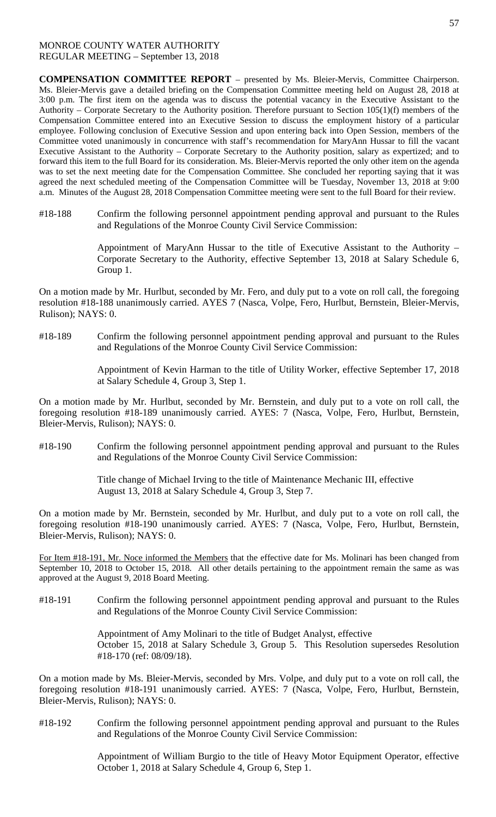**COMPENSATION COMMITTEE REPORT** – presented by Ms. Bleier-Mervis, Committee Chairperson. Ms. Bleier-Mervis gave a detailed briefing on the Compensation Committee meeting held on August 28, 2018 at 3:00 p.m. The first item on the agenda was to discuss the potential vacancy in the Executive Assistant to the Authority – Corporate Secretary to the Authority position. Therefore pursuant to Section 105(1)(f) members of the Compensation Committee entered into an Executive Session to discuss the employment history of a particular employee. Following conclusion of Executive Session and upon entering back into Open Session, members of the Committee voted unanimously in concurrence with staff's recommendation for MaryAnn Hussar to fill the vacant Executive Assistant to the Authority – Corporate Secretary to the Authority position, salary as expertized; and to forward this item to the full Board for its consideration. Ms. Bleier-Mervis reported the only other item on the agenda was to set the next meeting date for the Compensation Committee. She concluded her reporting saying that it was agreed the next scheduled meeting of the Compensation Committee will be Tuesday, November 13, 2018 at 9:00 a.m. Minutes of the August 28, 2018 Compensation Committee meeting were sent to the full Board for their review.

#18-188 Confirm the following personnel appointment pending approval and pursuant to the Rules and Regulations of the Monroe County Civil Service Commission:

> Appointment of MaryAnn Hussar to the title of Executive Assistant to the Authority – Corporate Secretary to the Authority, effective September 13, 2018 at Salary Schedule 6, Group 1.

On a motion made by Mr. Hurlbut, seconded by Mr. Fero, and duly put to a vote on roll call, the foregoing resolution #18-188 unanimously carried. AYES 7 (Nasca, Volpe, Fero, Hurlbut, Bernstein, Bleier-Mervis, Rulison); NAYS: 0.

#18-189 Confirm the following personnel appointment pending approval and pursuant to the Rules and Regulations of the Monroe County Civil Service Commission:

> Appointment of Kevin Harman to the title of Utility Worker, effective September 17, 2018 at Salary Schedule 4, Group 3, Step 1.

On a motion made by Mr. Hurlbut, seconded by Mr. Bernstein, and duly put to a vote on roll call, the foregoing resolution #18-189 unanimously carried. AYES: 7 (Nasca, Volpe, Fero, Hurlbut, Bernstein, Bleier-Mervis, Rulison); NAYS: 0.

#18-190 Confirm the following personnel appointment pending approval and pursuant to the Rules and Regulations of the Monroe County Civil Service Commission:

> Title change of Michael Irving to the title of Maintenance Mechanic III, effective August 13, 2018 at Salary Schedule 4, Group 3, Step 7.

On a motion made by Mr. Bernstein, seconded by Mr. Hurlbut, and duly put to a vote on roll call, the foregoing resolution #18-190 unanimously carried. AYES: 7 (Nasca, Volpe, Fero, Hurlbut, Bernstein, Bleier-Mervis, Rulison); NAYS: 0.

For Item #18-191, Mr. Noce informed the Members that the effective date for Ms. Molinari has been changed from September 10, 2018 to October 15, 2018. All other details pertaining to the appointment remain the same as was approved at the August 9, 2018 Board Meeting.

#18-191 Confirm the following personnel appointment pending approval and pursuant to the Rules and Regulations of the Monroe County Civil Service Commission:

> Appointment of Amy Molinari to the title of Budget Analyst, effective October 15, 2018 at Salary Schedule 3, Group 5. This Resolution supersedes Resolution #18-170 (ref: 08/09/18).

On a motion made by Ms. Bleier-Mervis, seconded by Mrs. Volpe, and duly put to a vote on roll call, the foregoing resolution #18-191 unanimously carried. AYES: 7 (Nasca, Volpe, Fero, Hurlbut, Bernstein, Bleier-Mervis, Rulison); NAYS: 0.

#18-192 Confirm the following personnel appointment pending approval and pursuant to the Rules and Regulations of the Monroe County Civil Service Commission:

> Appointment of William Burgio to the title of Heavy Motor Equipment Operator, effective October 1, 2018 at Salary Schedule 4, Group 6, Step 1.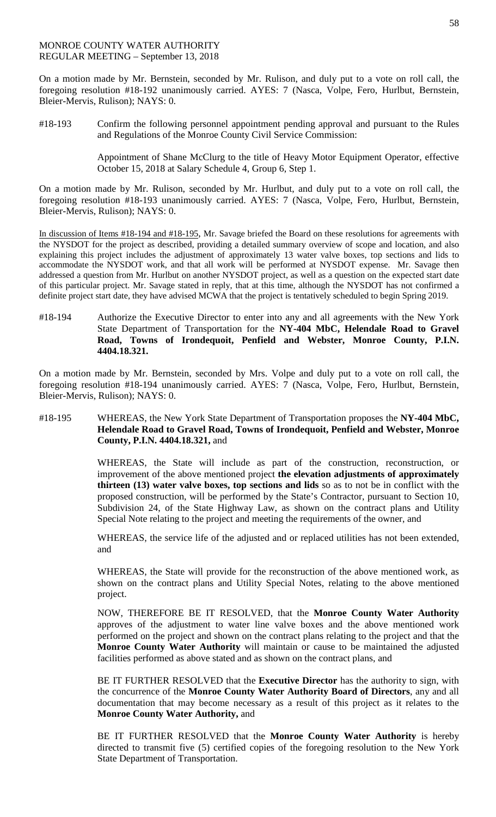On a motion made by Mr. Bernstein, seconded by Mr. Rulison, and duly put to a vote on roll call, the foregoing resolution #18-192 unanimously carried. AYES: 7 (Nasca, Volpe, Fero, Hurlbut, Bernstein, Bleier-Mervis, Rulison); NAYS: 0.

#18-193 Confirm the following personnel appointment pending approval and pursuant to the Rules and Regulations of the Monroe County Civil Service Commission:

> Appointment of Shane McClurg to the title of Heavy Motor Equipment Operator, effective October 15, 2018 at Salary Schedule 4, Group 6, Step 1.

On a motion made by Mr. Rulison, seconded by Mr. Hurlbut, and duly put to a vote on roll call, the foregoing resolution #18-193 unanimously carried. AYES: 7 (Nasca, Volpe, Fero, Hurlbut, Bernstein, Bleier-Mervis, Rulison); NAYS: 0.

In discussion of Items #18-194 and #18-195, Mr. Savage briefed the Board on these resolutions for agreements with the NYSDOT for the project as described, providing a detailed summary overview of scope and location, and also explaining this project includes the adjustment of approximately 13 water valve boxes, top sections and lids to accommodate the NYSDOT work, and that all work will be performed at NYSDOT expense. Mr. Savage then addressed a question from Mr. Hurlbut on another NYSDOT project, as well as a question on the expected start date of this particular project. Mr. Savage stated in reply, that at this time, although the NYSDOT has not confirmed a definite project start date, they have advised MCWA that the project is tentatively scheduled to begin Spring 2019.

#18-194 Authorize the Executive Director to enter into any and all agreements with the New York State Department of Transportation for the **NY-404 MbC, Helendale Road to Gravel Road, Towns of Irondequoit, Penfield and Webster, Monroe County, P.I.N. 4404.18.321.**

On a motion made by Mr. Bernstein, seconded by Mrs. Volpe and duly put to a vote on roll call, the foregoing resolution #18-194 unanimously carried. AYES: 7 (Nasca, Volpe, Fero, Hurlbut, Bernstein, Bleier-Mervis, Rulison); NAYS: 0.

#18-195 WHEREAS, the New York State Department of Transportation proposes the **NY-404 MbC, Helendale Road to Gravel Road, Towns of Irondequoit, Penfield and Webster, Monroe County, P.I.N. 4404.18.321,** and

> WHEREAS, the State will include as part of the construction, reconstruction, or improvement of the above mentioned project **the elevation adjustments of approximately thirteen (13) water valve boxes, top sections and lids** so as to not be in conflict with the proposed construction, will be performed by the State's Contractor, pursuant to Section 10, Subdivision 24, of the State Highway Law, as shown on the contract plans and Utility Special Note relating to the project and meeting the requirements of the owner, and

> WHEREAS, the service life of the adjusted and or replaced utilities has not been extended, and

> WHEREAS, the State will provide for the reconstruction of the above mentioned work, as shown on the contract plans and Utility Special Notes, relating to the above mentioned project.

> NOW, THEREFORE BE IT RESOLVED, that the **Monroe County Water Authority**  approves of the adjustment to water line valve boxes and the above mentioned work performed on the project and shown on the contract plans relating to the project and that the **Monroe County Water Authority** will maintain or cause to be maintained the adjusted facilities performed as above stated and as shown on the contract plans, and

> BE IT FURTHER RESOLVED that the **Executive Director** has the authority to sign, with the concurrence of the **Monroe County Water Authority Board of Directors**, any and all documentation that may become necessary as a result of this project as it relates to the **Monroe County Water Authority,** and

> BE IT FURTHER RESOLVED that the **Monroe County Water Authority** is hereby directed to transmit five (5) certified copies of the foregoing resolution to the New York State Department of Transportation.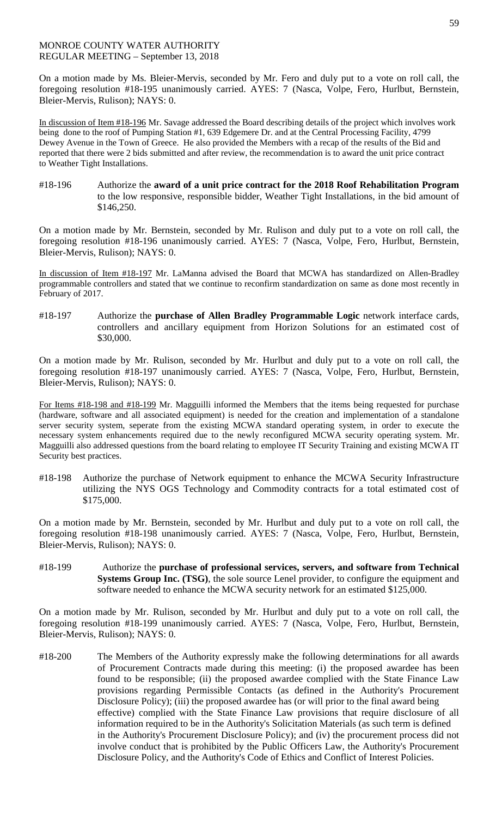On a motion made by Ms. Bleier-Mervis, seconded by Mr. Fero and duly put to a vote on roll call, the foregoing resolution #18-195 unanimously carried. AYES: 7 (Nasca, Volpe, Fero, Hurlbut, Bernstein, Bleier-Mervis, Rulison); NAYS: 0.

In discussion of Item #18-196 Mr. Savage addressed the Board describing details of the project which involves work being done to the roof of Pumping Station #1, 639 Edgemere Dr. and at the Central Processing Facility, 4799 Dewey Avenue in the Town of Greece. He also provided the Members with a recap of the results of the Bid and reported that there were 2 bids submitted and after review, the recommendation is to award the unit price contract to Weather Tight Installations.

#18-196 Authorize the **award of a unit price contract for the 2018 Roof Rehabilitation Program** to the low responsive, responsible bidder, Weather Tight Installations, in the bid amount of \$146,250.

On a motion made by Mr. Bernstein, seconded by Mr. Rulison and duly put to a vote on roll call, the foregoing resolution #18-196 unanimously carried. AYES: 7 (Nasca, Volpe, Fero, Hurlbut, Bernstein, Bleier-Mervis, Rulison); NAYS: 0.

In discussion of Item #18-197 Mr. LaManna advised the Board that MCWA has standardized on Allen-Bradley programmable controllers and stated that we continue to reconfirm standardization on same as done most recently in February of 2017.

#18-197 Authorize the **purchase of Allen Bradley Programmable Logic** network interface cards, controllers and ancillary equipment from Horizon Solutions for an estimated cost of \$30,000.

On a motion made by Mr. Rulison, seconded by Mr. Hurlbut and duly put to a vote on roll call, the foregoing resolution #18-197 unanimously carried. AYES: 7 (Nasca, Volpe, Fero, Hurlbut, Bernstein, Bleier-Mervis, Rulison); NAYS: 0.

For Items #18-198 and #18-199 Mr. Magguilli informed the Members that the items being requested for purchase (hardware, software and all associated equipment) is needed for the creation and implementation of a standalone server security system, seperate from the existing MCWA standard operating system, in order to execute the necessary system enhancements required due to the newly reconfigured MCWA security operating system. Mr. Magguilli also addressed questions from the board relating to employee IT Security Training and existing MCWA IT Security best practices.

#18-198 Authorize the purchase of Network equipment to enhance the MCWA Security Infrastructure utilizing the NYS OGS Technology and Commodity contracts for a total estimated cost of \$175,000.

On a motion made by Mr. Bernstein, seconded by Mr. Hurlbut and duly put to a vote on roll call, the foregoing resolution #18-198 unanimously carried. AYES: 7 (Nasca, Volpe, Fero, Hurlbut, Bernstein, Bleier-Mervis, Rulison); NAYS: 0.

#18-199 Authorize the **purchase of professional services, servers, and software from Technical Systems Group Inc. (TSG)**, the sole source Lenel provider, to configure the equipment and software needed to enhance the MCWA security network for an estimated \$125,000.

On a motion made by Mr. Rulison, seconded by Mr. Hurlbut and duly put to a vote on roll call, the foregoing resolution #18-199 unanimously carried. AYES: 7 (Nasca, Volpe, Fero, Hurlbut, Bernstein, Bleier-Mervis, Rulison); NAYS: 0.

#18-200 The Members of the Authority expressly make the following determinations for all awards of Procurement Contracts made during this meeting: (i) the proposed awardee has been found to be responsible; (ii) the proposed awardee complied with the State Finance Law provisions regarding Permissible Contacts (as defined in the Authority's Procurement Disclosure Policy); (iii) the proposed awardee has (or will prior to the final award being effective) complied with the State Finance Law provisions that require disclosure of all information required to be in the Authority's Solicitation Materials (as such term is defined in the Authority's Procurement Disclosure Policy); and (iv) the procurement process did not involve conduct that is prohibited by the Public Officers Law, the Authority's Procurement Disclosure Policy, and the Authority's Code of Ethics and Conflict of Interest Policies.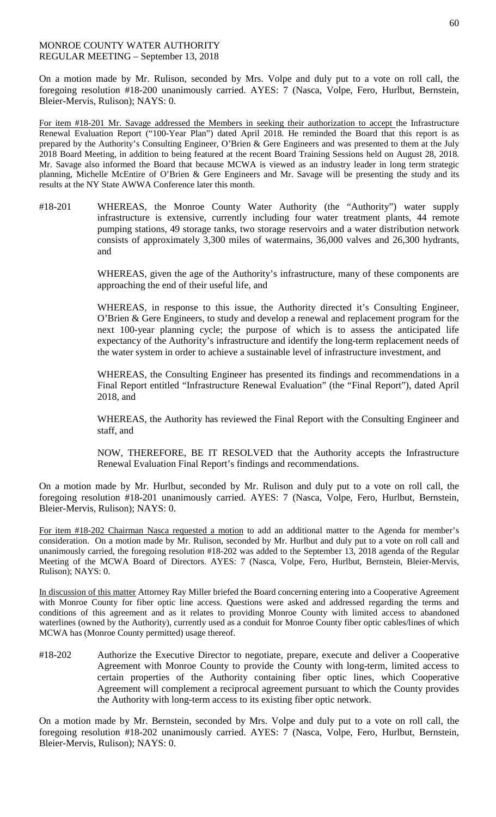On a motion made by Mr. Rulison, seconded by Mrs. Volpe and duly put to a vote on roll call, the foregoing resolution #18-200 unanimously carried. AYES: 7 (Nasca, Volpe, Fero, Hurlbut, Bernstein, Bleier-Mervis, Rulison); NAYS: 0.

For item #18-201 Mr. Savage addressed the Members in seeking their authorization to accept the Infrastructure Renewal Evaluation Report ("100-Year Plan") dated April 2018. He reminded the Board that this report is as prepared by the Authority's Consulting Engineer, O'Brien & Gere Engineers and was presented to them at the July 2018 Board Meeting, in addition to being featured at the recent Board Training Sessions held on August 28, 2018. Mr. Savage also informed the Board that because MCWA is viewed as an industry leader in long term strategic planning, Michelle McEntire of O'Brien & Gere Engineers and Mr. Savage will be presenting the study and its results at the NY State AWWA Conference later this month.

#18-201 WHEREAS, the Monroe County Water Authority (the "Authority") water supply infrastructure is extensive, currently including four water treatment plants, 44 remote pumping stations, 49 storage tanks, two storage reservoirs and a water distribution network consists of approximately 3,300 miles of watermains, 36,000 valves and 26,300 hydrants, and

> WHEREAS, given the age of the Authority's infrastructure, many of these components are approaching the end of their useful life, and

> WHEREAS, in response to this issue, the Authority directed it's Consulting Engineer, O'Brien & Gere Engineers, to study and develop a renewal and replacement program for the next 100-year planning cycle; the purpose of which is to assess the anticipated life expectancy of the Authority's infrastructure and identify the long-term replacement needs of the water system in order to achieve a sustainable level of infrastructure investment, and

> WHEREAS, the Consulting Engineer has presented its findings and recommendations in a Final Report entitled "Infrastructure Renewal Evaluation" (the "Final Report"), dated April 2018, and

> WHEREAS, the Authority has reviewed the Final Report with the Consulting Engineer and staff, and

> NOW, THEREFORE, BE IT RESOLVED that the Authority accepts the Infrastructure Renewal Evaluation Final Report's findings and recommendations.

On a motion made by Mr. Hurlbut, seconded by Mr. Rulison and duly put to a vote on roll call, the foregoing resolution #18-201 unanimously carried. AYES: 7 (Nasca, Volpe, Fero, Hurlbut, Bernstein, Bleier-Mervis, Rulison); NAYS: 0.

For item #18-202 Chairman Nasca requested a motion to add an additional matter to the Agenda for member's consideration. On a motion made by Mr. Rulison, seconded by Mr. Hurlbut and duly put to a vote on roll call and unanimously carried, the foregoing resolution #18-202 was added to the September 13, 2018 agenda of the Regular Meeting of the MCWA Board of Directors. AYES: 7 (Nasca, Volpe, Fero, Hurlbut, Bernstein, Bleier-Mervis, Rulison); NAYS: 0.

In discussion of this matter Attorney Ray Miller briefed the Board concerning entering into a Cooperative Agreement with Monroe County for fiber optic line access. Questions were asked and addressed regarding the terms and conditions of this agreement and as it relates to providing Monroe County with limited access to abandoned waterlines (owned by the Authority), currently used as a conduit for Monroe County fiber optic cables/lines of which MCWA has (Monroe County permitted) usage thereof.

#18-202 Authorize the Executive Director to negotiate, prepare, execute and deliver a Cooperative Agreement with Monroe County to provide the County with long-term, limited access to certain properties of the Authority containing fiber optic lines, which Cooperative Agreement will complement a reciprocal agreement pursuant to which the County provides the Authority with long-term access to its existing fiber optic network.

On a motion made by Mr. Bernstein, seconded by Mrs. Volpe and duly put to a vote on roll call, the foregoing resolution #18-202 unanimously carried. AYES: 7 (Nasca, Volpe, Fero, Hurlbut, Bernstein, Bleier-Mervis, Rulison); NAYS: 0.